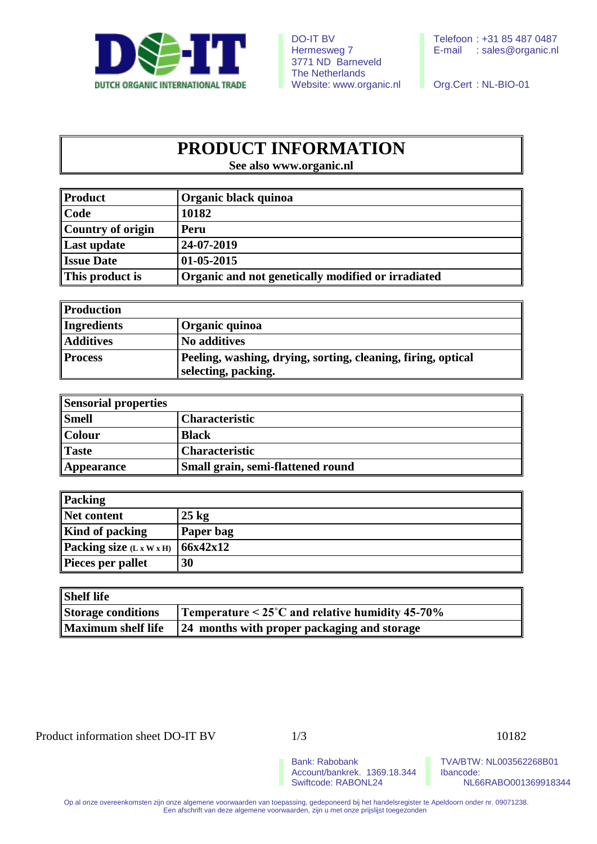

3771 ND Barneveld The Netherlands Website: www.organic.nl Org.Cert : NL-BIO-01

## **PRODUCT INFORMATION**

**See also www.organic.nl**

| Product              | Organic black quinoa                               |  |
|----------------------|----------------------------------------------------|--|
| $\ $ Code            | 10182                                              |  |
| Country of origin    | Peru                                               |  |
| Last update          | 24-07-2019                                         |  |
| <b>Issue Date</b>    | $01-05-2015$                                       |  |
| $\ $ This product is | Organic and not genetically modified or irradiated |  |

| Production       |                                                                                     |
|------------------|-------------------------------------------------------------------------------------|
| Ingredients      | Organic quinoa                                                                      |
| <b>Additives</b> | No additives                                                                        |
| <b>Process</b>   | Peeling, washing, drying, sorting, cleaning, firing, optical<br>selecting, packing. |

| Sensorial properties |                                   |
|----------------------|-----------------------------------|
| <b>Smell</b>         | <b>Characteristic</b>             |
| $\ $ Colour          | <b>Black</b>                      |
| Taste                | <b>Characteristic</b>             |
| Appearance           | Small grain, semi-flattened round |

| Packing                    |                 |
|----------------------------|-----------------|
| Net content                | $25 \text{ kg}$ |
| <b>Kind of packing</b>     | Paper bag       |
| Packing size $(L x W x H)$ | 66x42x12        |
| Pieces per pallet          | 30              |

| <b>Shelf life</b>         |                                                              |
|---------------------------|--------------------------------------------------------------|
| Storage conditions        | Temperature $\leq 25^{\circ}$ C and relative humidity 45-70% |
| <b>Maximum shelf life</b> | 24 months with proper packaging and storage                  |

Product information sheet DO-IT BV 1/3 10182

Account/bankrek. 1369.18.344<br>Swiftcode: RABONL24

Bank: Rabobank TVA/BTW: NL003562268B01<br>Account/bankrek. 1369.18.344 Ibancode: NL66RABO001369918344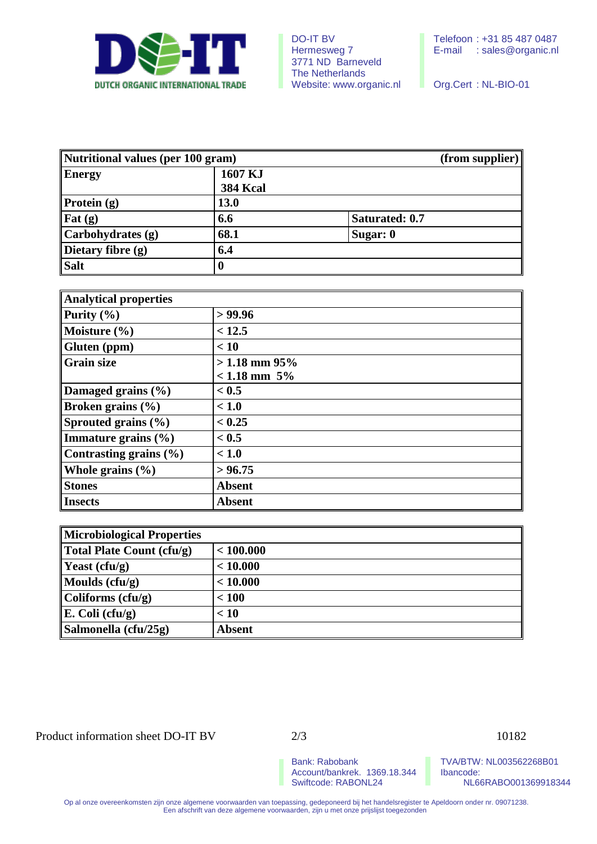

| Nutritional values (per 100 gram) |                            |                | (from supplier) |
|-----------------------------------|----------------------------|----------------|-----------------|
| <b>Energy</b>                     | 1607 KJ<br><b>384 Kcal</b> |                |                 |
| Protein $(g)$                     | <b>13.0</b>                |                |                 |
| Fat $(g)$                         | 6.6                        | Saturated: 0.7 |                 |
| Carbohydrates (g)                 | 68.1                       | Sugar: 0       |                 |
| Dietary fibre $(g)$               | 6.4                        |                |                 |
| <b>Salt</b>                       | 0                          |                |                 |

| <b>Analytical properties</b> |                   |  |
|------------------------------|-------------------|--|
| Purity $(\% )$               | > 99.96           |  |
| Moisture $(\% )$             | < 12.5            |  |
| Gluten (ppm)                 | < 10              |  |
| <b>Grain size</b>            | $>1.18$ mm 95%    |  |
|                              | $< 1.18$ mm $5\%$ |  |
| Damaged grains (%)           | < 0.5             |  |
| Broken grains $(\% )$        | < 1.0             |  |
| Sprouted grains $(\% )$      | < 0.25            |  |
| Immature grains $(\% )$      | < 0.5             |  |
| Contrasting grains $(\% )$   | < 1.0             |  |
| Whole grains $(\% )$         | > 96.75           |  |
| <b>Stones</b>                | <b>Absent</b>     |  |
| <b>Insects</b>               | <b>Absent</b>     |  |

| Microbiological Properties               |               |  |
|------------------------------------------|---------------|--|
| Total Plate Count (cfu/g)                | < 100.000     |  |
| <b>Yeast</b> (cfu/g)                     | < 10.000      |  |
| Moulds $(cfu/g)$                         | < 10.000      |  |
| $\mathbf{\Vert}\text{Coliforms (cfu/g)}$ | < 100         |  |
| $\mathbb{E}$ . Coli (cfu/g)              | < 10          |  |
| Salmonella (cfu/25g)                     | <b>Absent</b> |  |

Product information sheet DO-IT BV 2/3 10182

Account/bankrek. 1369.18.344<br>Swiftcode: RABONL24

Bank: Rabobank<br>Account/bankrek. 1369.18.344 | Ibancode: NL66RABO001369918344